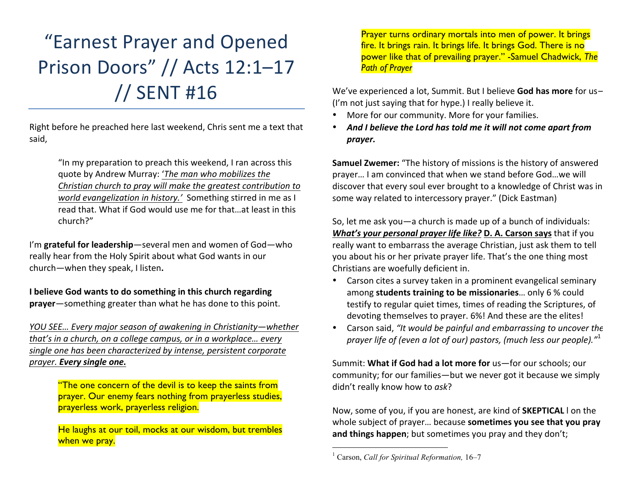# "Earnest Prayer and Opened Prison Doors" // Acts 12:1-17 // SENT #16

Right before he preached here last weekend, Chris sent me a text that said, 

> "In my preparation to preach this weekend, I ran across this quote by Andrew Murray: 'The man who mobilizes the *Christian church to pray will make the greatest contribution to world evangelization in history.'* Something stirred in me as I read that. What if God would use me for that ... at least in this church?"

I'm grateful for leadership-several men and women of God-who really hear from the Holy Spirit about what God wants in our church-when they speak, I listen.

**I** believe God wants to do something in this church regarding **prayer**—something greater than what he has done to this point.

*YOU SEE... Every major season of awakening in Christianity—whether that's* in a church, on a college campus, or in a workplace... every single one has been characterized by intense, persistent corporate *prayer. Every single one.*

> "The one concern of the devil is to keep the saints from prayer. Our enemy fears nothing from prayerless studies, prayerless work, prayerless religion.

> He laughs at our toil, mocks at our wisdom, but trembles when we pray.

Prayer turns ordinary mortals into men of power. It brings fire. It brings rain. It brings life. It brings God. There is no power like that of prevailing prayer." -Samuel Chadwick, *The Path of Prayer*

We've experienced a lot, Summit. But I believe God has more for us-(I'm not just saying that for hype.) I really believe it.

- More for our community. More for your families.
- And I believe the Lord has told me it will not come apart from *prayer.*

**Samuel Zwemer:** "The history of missions is the history of answered prayer... I am convinced that when we stand before God...we will discover that every soul ever brought to a knowledge of Christ was in some way related to intercessory prayer." (Dick Eastman)

So, let me ask you  $-a$  church is made up of a bunch of individuals: *What's* **your personal prayer life like? D. A. Carson says that if you** really want to embarrass the average Christian, just ask them to tell you about his or her private prayer life. That's the one thing most Christians are woefully deficient in.

- Carson cites a survey taken in a prominent evangelical seminary among **students training to be missionaries**... only 6 % could testify to regular quiet times, times of reading the Scriptures, of devoting themselves to prayer. 6%! And these are the elites!
- Carson said, "It would be painful and embarrassing to uncover the prayer life of (even a lot of our) pastors, (much less our people)."<sup>1</sup>

Summit: **What if God had a lot more for** us-for our schools: our community; for our families—but we never got it because we simply didn't really know how to ask?

Now, some of you, if you are honest, are kind of **SKEPTICAL** I on the whole subject of prayer... because **sometimes you see that you pray and things happen**; but sometimes you pray and they don't;

 <sup>1</sup> Carson, *Call for Spiritual Reformation,* 16–7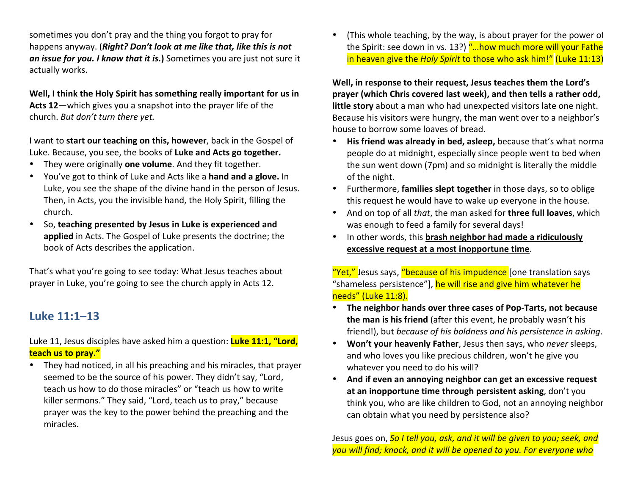sometimes you don't pray and the thing you forgot to pray for happens anyway. (*Right? Don't look at me like that, like this is not* an *issue for you. I know that it is.*) Sometimes you are just not sure it actually works.

Well, I think the Holy Spirit has something really important for us in Acts 12—which gives you a snapshot into the prayer life of the church. But don't turn there yet.

I want to start our teaching on this, however, back in the Gospel of Luke. Because, you see, the books of Luke and Acts go together.

- They were originally **one volume**. And they fit together.
- You've got to think of Luke and Acts like a **hand and a glove.** In Luke, you see the shape of the divine hand in the person of Jesus. Then, in Acts, you the invisible hand, the Holy Spirit, filling the church.
- So, teaching presented by Jesus in Luke is experienced and **applied** in Acts. The Gospel of Luke presents the doctrine; the book of Acts describes the application.

That's what you're going to see today: What Jesus teaches about prayer in Luke, you're going to see the church apply in Acts 12.

# **Luke 11:1–13**

Luke 11, Jesus disciples have asked him a question: **Luke 11:1, "Lord, teach us to pray."** 

• They had noticed, in all his preaching and his miracles, that prayer seemed to be the source of his power. They didn't say, "Lord, teach us how to do those miracles" or "teach us how to write killer sermons." They said, "Lord, teach us to pray," because prayer was the key to the power behind the preaching and the miracles. 

(This whole teaching, by the way, is about prayer for the power of the Spirit: see down in vs. 13?) "...how much more will your Fathe in heaven give the *Holy Spirit* to those who ask him!" (Luke 11:13)

Well, in response to their request, Jesus teaches them the Lord's **prayer (which Chris covered last week), and then tells a rather odd, little story** about a man who had unexpected visitors late one night. Because his visitors were hungry, the man went over to a neighbor's house to borrow some loaves of bread.

- His friend was already in bed, asleep, because that's what normal people do at midnight, especially since people went to bed when the sun went down (7pm) and so midnight is literally the middle of the night.
- Furthermore, **families slept together** in those days, so to oblige this request he would have to wake up everyone in the house.
- And on top of all *that*, the man asked for **three full loaves**, which was enough to feed a family for several days!
- In other words, this **brash neighbor had made a ridiculously excessive request at a most inopportune time.**

"Yet," Jesus says, "because of his impudence [one translation says "shameless persistence"], he will rise and give him whatever he needs" (Luke 11:8).

- The neighbor hands over three cases of Pop-Tarts, not because **the man is his friend** (after this event, he probably wasn't his friend!), but *because of his boldness and his persistence in asking*.
- Won't your heavenly Father, Jesus then says, who *never* sleeps, and who loves you like precious children, won't he give you whatever you need to do his will?
- And if even an annoying neighbor can get an excessive request at an inopportune time through persistent asking, don't you think you, who are like children to God, not an annoying neighbor can obtain what you need by persistence also?

Jesus goes on, **So I tell you, ask, and it will be given to you; seek, and** you will find; knock, and it will be opened to you. For everyone who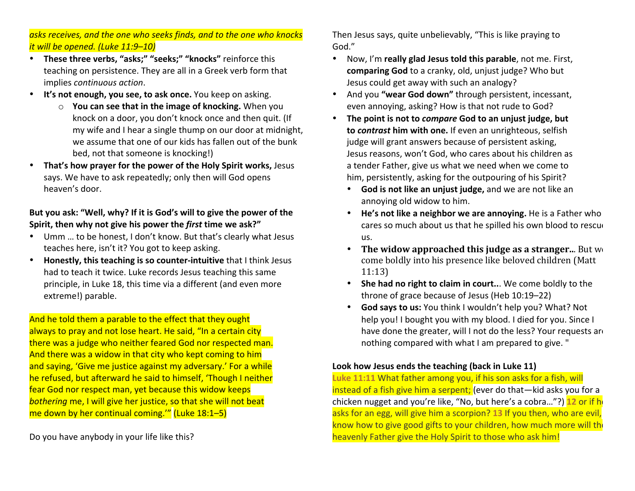asks receives, and the one who seeks finds, and to the one who knocks *it will be opened. (Luke 11:9–10)* 

- These three verbs, "asks;" "seeks;" "knocks" reinforce this teaching on persistence. They are all in a Greek verb form that implies *continuous action*.
- It's not enough, you see, to ask once. You keep on asking.
	- **o You can see that in the image of knocking.** When you knock on a door, you don't knock once and then quit. (If my wife and I hear a single thump on our door at midnight, we assume that one of our kids has fallen out of the bunk bed, not that someone is knocking!)
- **That's how prayer for the power of the Holy Spirit works, Jesus** says. We have to ask repeatedly; only then will God opens heaven's door.

But you ask: "Well, why? If it is God's will to give the power of the **Spirit, then why not give his power the first time we ask?"** 

- Umm ... to be honest, I don't know. But that's clearly what Jesus teaches here, isn't it? You got to keep asking.
- Honestly, this teaching is so counter-intuitive that I think Jesus had to teach it twice. Luke records Jesus teaching this same principle, in Luke 18, this time via a different (and even more extreme!) parable.

And he told them a parable to the effect that they ought always to pray and not lose heart. He said, "In a certain city there was a judge who neither feared God nor respected man. And there was a widow in that city who kept coming to him and saying, 'Give me justice against my adversary.' For a while he refused, but afterward he said to himself, 'Though I neither fear God nor respect man, yet because this widow keeps **bothering me, I will give her justice, so that she will not beat** me down by her continual coming." (Luke  $18:1-5$ )

Do you have anybody in your life like this?

Then Jesus says, quite unbelievably, "This is like praying to God."

- Now, I'm **really glad Jesus told this parable**, not me. First, **comparing God** to a cranky, old, unjust judge? Who but Jesus could get away with such an analogy?
- And you "wear God down" through persistent, incessant, even annoying, asking? How is that not rude to God?
- The point is not to *compare* God to an unjust judge, but **to contrast him with one.** If even an unrighteous, selfish judge will grant answers because of persistent asking, Jesus reasons, won't God, who cares about his children as a tender Father, give us what we need when we come to him, persistently, asking for the outpouring of his Spirit?
	- God is not like an unjust judge, and we are not like an annoying old widow to him.
	- He's not like a neighbor we are annoying. He is a Father who cares so much about us that he spilled his own blood to rescue us.
	- The widow approached this judge as a stranger... But w come boldly into his presence like beloved children (Matt 11:13)
	- She had no right to claim in court... We come boldly to the throne of grace because of Jesus (Heb 10:19–22)
	- God says to us: You think I wouldn't help you? What? Not help you! I bought you with my blood. I died for you. Since I have done the greater, will I not do the less? Your requests are nothing compared with what I am prepared to give. "

#### Look how Jesus ends the teaching (back in Luke 11)

Luke 11:11 What father among you, if his son asks for a fish, will instead of a fish give him a serpent; (ever do that—kid asks you for a chicken nugget and you're like, "No, but here's a cobra..."?) **12** or if he asks for an egg, will give him a scorpion? 13 If you then, who are evil, know how to give good gifts to your children, how much more will the heavenly Father give the Holy Spirit to those who ask him!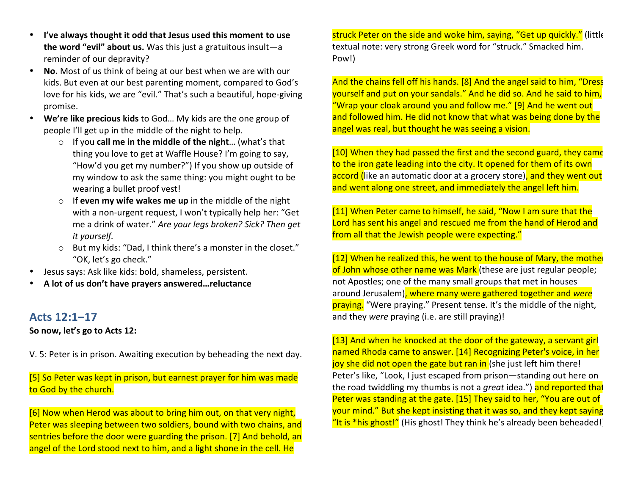- I've always thought it odd that Jesus used this moment to use **the word "evil" about us.** Was this just a gratuitous insult-a reminder of our depravity?
- **No.** Most of us think of being at our best when we are with our kids. But even at our best parenting moment, compared to God's love for his kids, we are "evil." That's such a beautiful, hope-giving promise.
- We're like precious kids to God... My kids are the one group of people I'll get up in the middle of the night to help.
	- If you **call me in the middle of the night**... (what's that thing you love to get at Waffle House? I'm going to say, "How'd you get my number?") If you show up outside of my window to ask the same thing: you might ought to be wearing a bullet proof vest!
	- $\circ$  If **even my wife wakes me up** in the middle of the night with a non-urgent request, I won't typically help her: "Get me a drink of water." Are your legs broken? Sick? Then get *it yourself.*
	- $\circ$  But my kids: "Dad, I think there's a monster in the closet." "OK, let's go check."
- Jesus says: Ask like kids: bold, shameless, persistent.
- A lot of us don't have prayers answered...reluctance

### **Acts 12:1–17**

#### So now, let's go to Acts 12:

V. 5: Peter is in prison. Awaiting execution by beheading the next day.

 $[5]$  So Peter was kept in prison, but earnest prayer for him was made to God by the church.

 $[6]$  Now when Herod was about to bring him out, on that very night, Peter was sleeping between two soldiers, bound with two chains, and sentries before the door were guarding the prison. [7] And behold, an angel of the Lord stood next to him, and a light shone in the cell. He

struck Peter on the side and woke him, saying, "Get up quickly." (little textual note: very strong Greek word for "struck." Smacked him. Pow!)

And the chains fell off his hands. [8] And the angel said to him, "Dress yourself and put on your sandals." And he did so. And he said to him, "Wrap your cloak around you and follow me." [9] And he went out and followed him. He did not know that what was being done by the angel was real, but thought he was seeing a vision.

[10] When they had passed the first and the second guard, they came to the iron gate leading into the city. It opened for them of its own accord (like an automatic door at a grocery store), and they went out and went along one street, and immediately the angel left him.

[11] When Peter came to himself, he said, "Now I am sure that the Lord has sent his angel and rescued me from the hand of Herod and from all that the Jewish people were expecting."

 $[12]$  When he realized this, he went to the house of Mary, the mothe of John whose other name was Mark (these are just regular people; not Apostles; one of the many small groups that met in houses around Jerusalem), where many were gathered together and were praying. "Were praying." Present tense. It's the middle of the night, and they *were* praying (i.e. are still praying)!

[13] And when he knocked at the door of the gateway, a servant girl named Rhoda came to answer. [14] Recognizing Peter's voice, in her joy she did not open the gate but ran in (she just left him there! Peter's like, "Look, I just escaped from prison—standing out here on the road twiddling my thumbs is not a *great* idea.") and reported that Peter was standing at the gate. [15] They said to her, "You are out of your mind." But she kept insisting that it was so, and they kept saying "It is \*his ghost!" (His ghost! They think he's already been beheaded!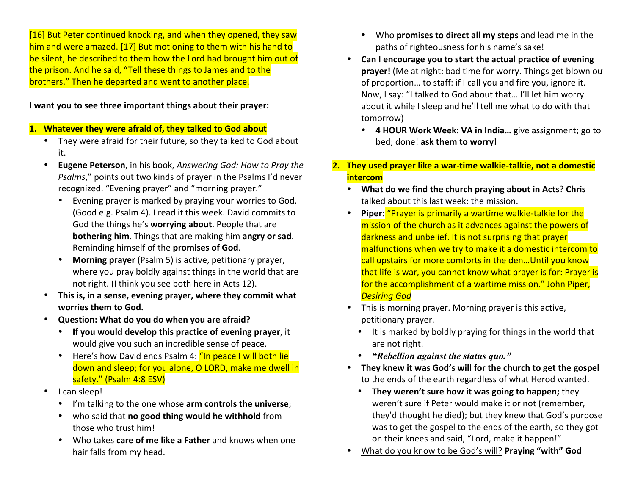[16] But Peter continued knocking, and when they opened, they saw him and were amazed. [17] But motioning to them with his hand to be silent, he described to them how the Lord had brought him out of the prison. And he said, "Tell these things to James and to the brothers." Then he departed and went to another place.

#### **I** want you to see three important things about their prayer:

#### 1. Whatever they were afraid of, they talked to God about

- They were afraid for their future, so they talked to God about it.
- **Eugene Peterson**, in his book, *Answering God: How to Pray the Psalms*," points out two kinds of prayer in the Psalms I'd never recognized. "Evening prayer" and "morning prayer."
	- Evening prayer is marked by praying your worries to God. (Good e.g. Psalm 4). I read it this week. David commits to God the things he's worrying about. People that are **bothering him**. Things that are making him angry or sad. Reminding himself of the **promises of God**.
	- Morning prayer (Psalm 5) is active, petitionary prayer, where you pray boldly against things in the world that are not right. (I think you see both here in Acts 12).
- This is, in a sense, evening prayer, where they commit what worries them to God.
- Question: What do you do when you are afraid?
	- If you would develop this practice of evening prayer, it would give you such an incredible sense of peace.
	- Here's how David ends Psalm 4: "In peace I will both lie down and sleep; for you alone, O LORD, make me dwell in safety." (Psalm 4:8 ESV)
- I can sleep!
	- I'm talking to the one whose arm controls the universe;
	- who said that **no good thing would he withhold** from those who trust him!
	- Who takes **care of me like a Father** and knows when one hair falls from my head.
- Who **promises to direct all my steps** and lead me in the paths of righteousness for his name's sake!
- Can I encourage you to start the actual practice of evening **prayer!** (Me at night: bad time for worry. Things get blown ou of proportion... to staff: if I call you and fire you, ignore it. Now, I say: "I talked to God about that... I'll let him worry about it while I sleep and he'll tell me what to do with that tomorrow)
	- 4 HOUR Work Week: VA in India... give assignment; go to bed; done! ask them to worry!
- **2.** They used prayer like a war-time walkie-talkie, not a domestic **intercom**
	- **What do we find the church praying about in Acts? Chris** talked about this last week: the mission.
	- Piper: "Prayer is primarily a wartime walkie-talkie for the mission of the church as it advances against the powers of darkness and unbelief. It is not surprising that prayer malfunctions when we try to make it a domestic intercom to call upstairs for more comforts in the den...Until you know that life is war, you cannot know what prayer is for: Prayer is for the accomplishment of a wartime mission." John Piper, *Desiring God*
	- This is morning prayer. Morning prayer is this active, petitionary prayer.
		- $\bullet$  It is marked by boldly praying for things in the world that are not right.
		- *"Rebellion against the status quo."*
	- They knew it was God's will for the church to get the gospel to the ends of the earth regardless of what Herod wanted.
		- They weren't sure how it was going to happen; they weren't sure if Peter would make it or not (remember, they'd thought he died); but they knew that God's purpose was to get the gospel to the ends of the earth, so they got on their knees and said, "Lord, make it happen!"
	- What do you know to be God's will? **Praying "with" God**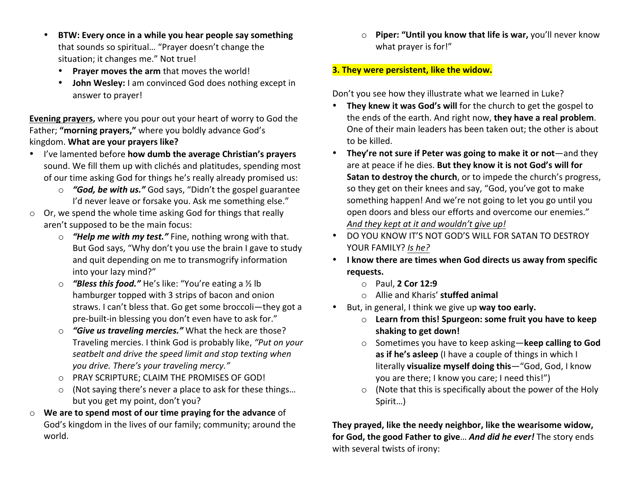- BTW: Every once in a while you hear people say something that sounds so spiritual... "Prayer doesn't change the situation; it changes me." Not true!
	- Prayer moves the arm that moves the world!
	- **John Wesley:** I am convinced God does nothing except in answer to prayer!

**Evening prayers,** where you pour out your heart of worry to God the Father; "morning prayers," where you boldly advance God's kingdom. What are your prayers like?

- I've lamented before how dumb the average Christian's prayers sound. We fill them up with clichés and platitudes, spending most of our time asking God for things he's really already promised us:
	- o **"God, be with us."** God says, "Didn't the gospel guarantee I'd never leave or forsake you. Ask me something else."
- $\circ$  Or, we spend the whole time asking God for things that really aren't supposed to be the main focus:
	- o **"Help me with my test."** Fine, nothing wrong with that. But God says, "Why don't you use the brain I gave to study and quit depending on me to transmogrify information into your lazy mind?"
	- o **"Bless this food."** He's like: "You're eating a 1/2 lb hamburger topped with 3 strips of bacon and onion straws. I can't bless that. Go get some broccoli-they got a pre-built-in blessing you don't even have to ask for."
	- o **"Give us traveling mercies."** What the heck are those? Traveling mercies. I think God is probably like, "Put on your seatbelt and drive the speed limit and stop texting when *you drive. There's your traveling mercy."*
	- $\circ$  PRAY SCRIPTURE; CLAIM THE PROMISES OF GOD!
	- $\circ$  (Not saying there's never a place to ask for these things... but you get my point, don't you?
- $\circ$  We are to spend most of our time praying for the advance of God's kingdom in the lives of our family; community; around the world.

o **Piper: "Until you know that life is war,** you'll never know what prayer is for!"

#### **3. They were persistent, like the widow.**

Don't you see how they illustrate what we learned in Luke?

- They knew it was God's will for the church to get the gospel to the ends of the earth. And right now, they have a real problem. One of their main leaders has been taken out; the other is about to be killed.
- They're not sure if Peter was going to make it or not—and they are at peace if he dies. But they know it is not God's will for **Satan to destroy the church**, or to impede the church's progress, so they get on their knees and say, "God, you've got to make something happen! And we're not going to let you go until you open doors and bless our efforts and overcome our enemies." And they kept at it and wouldn't give up!
- DO YOU KNOW IT'S NOT GOD'S WILL FOR SATAN TO DESTROY YOUR FAMILY? Is he?
- I know there are times when God directs us away from specific **requests.** 
	- o Paul, **2 Cor 12:9**
	- o Allie and Kharis' **stuffed animal**
- But, in general, I think we give up way too early.
	- $\circ$  Learn from this! Spurgeon: some fruit you have to keep **shaking to get down!**
	- o Sometimes you have to keep asking—**keep calling to God as if he's asleep** (I have a couple of things in which I literally **visualize myself doing this**—"God, God, I know you are there; I know you care; I need this!")
	- $\circ$  (Note that this is specifically about the power of the Holy Spirit…)

They prayed, like the needy neighbor, like the wearisome widow, **for God, the good Father to give... And did he ever!** The story ends with several twists of irony: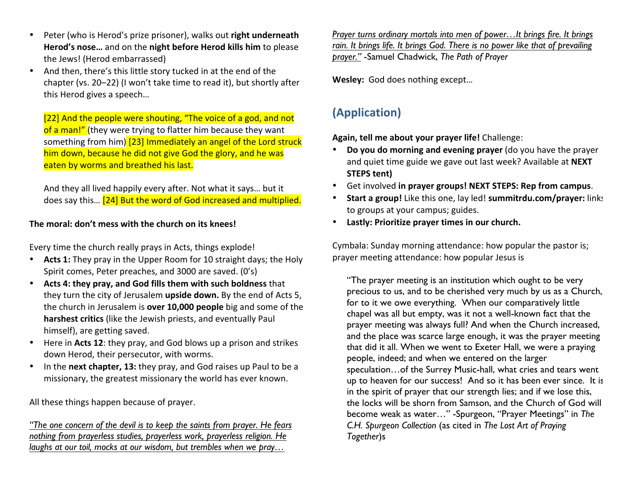- Peter (who is Herod's prize prisoner), walks out **right underneath** Herod's nose... and on the night before Herod kills him to please the Jews! (Herod embarrassed)
- And then, there's this little story tucked in at the end of the chapter (vs. 20-22) (I won't take time to read it), but shortly after this Herod gives a speech...

[22] And the people were shouting, "The voice of a god, and not of a man!" (they were trying to flatter him because they want something from him) [23] Immediately an angel of the Lord struck him down, because he did not give God the glory, and he was eaten by worms and breathed his last.

And they all lived happily every after. Not what it says... but it does say this... [24] But the word of God increased and multiplied.

#### The moral: don't mess with the church on its knees!

Every time the church really prays in Acts, things explode!

- Acts 1: They pray in the Upper Room for 10 straight days; the Holy Spirit comes, Peter preaches, and 3000 are saved. (0's)
- Acts 4: they pray, and God fills them with such boldness that they turn the city of Jerusalem upside down. By the end of Acts 5, the church in Jerusalem is **over 10,000 people** big and some of the **harshest critics** (like the Jewish priests, and eventually Paul himself), are getting saved.
- Here in Acts 12: they pray, and God blows up a prison and strikes down Herod, their persecutor, with worms.
- In the **next chapter, 13:** they pray, and God raises up Paul to be a missionary, the greatest missionary the world has ever known.

All these things happen because of prayer.

*"The one concern of the devil is to keep the saints from prayer. He fears nothing from prayerless studies, prayerless work, prayerless religion. He laughs at our toil, mocks at our wisdom, but trembles when we pray…* 

*Prayer turns ordinary mortals into men of power…It brings fire. It brings rain. It brings life. It brings God. There is no power like that of prevailing prayer."* -Samuel Chadwick, *The Path of Prayer*

Wesley: God does nothing except...

# **(Application)**

Again, tell me about your prayer life! Challenge:

- Do you do morning and evening prayer (do you have the prayer and quiet time guide we gave out last week? Available at NEXT **STEPS** tent)
- Get involved in prayer groups! NEXT STEPS: Rep from campus.
- **Start a group!** Like this one, lay led! **summitrdu.com/prayer:** links to groups at your campus; guides.
- Lastly: Prioritize prayer times in our church.

Cymbala: Sunday morning attendance: how popular the pastor is; prayer meeting attendance: how popular Jesus is

"The prayer meeting is an institution which ought to be very precious to us, and to be cherished very much by us as a Church, for to it we owe everything. When our comparatively little chapel was all but empty, was it not a well-known fact that the prayer meeting was always full? And when the Church increased, and the place was scarce large enough, it was the prayer meeting that did it all. When we went to Exeter Hall, we were a praying people, indeed; and when we entered on the larger speculation…of the Surrey Music-hall, what cries and tears went up to heaven for our success! And so it has been ever since. It is in the spirit of prayer that our strength lies; and if we lose this, the locks will be shorn from Samson, and the Church of God will become weak as water…" -Spurgeon, "Prayer Meetings" in *The C.H. Spurgeon Collection* (as cited in *The Lost Art of Praying Together*)s